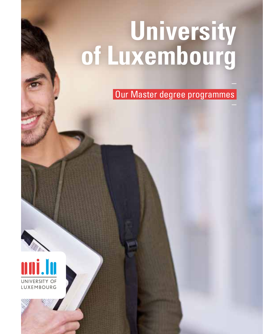# **University<br>of Luxembourg**

Our Master degree programmes

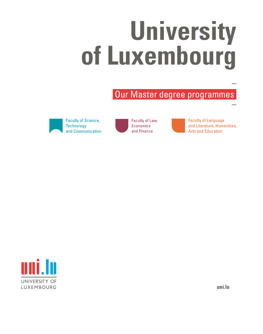# **University** of Luxembourg

Our Master degree programmes



Faculty of Law, Economics and Finance



**Faculty of Language** and Literature, Humanities, **Arts and Education** 



uni.lu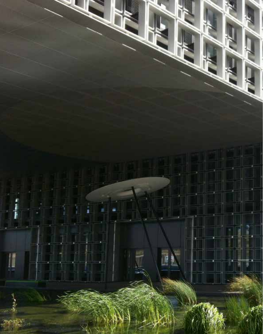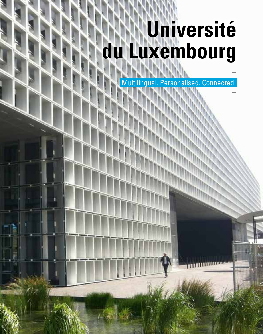## **Université** du Luxembourg

Multilingual. Personalised. Connected.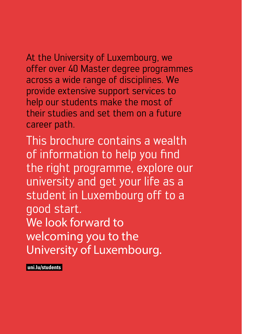At the University of Luxembourg, we offer over 40 Master degree programmes across a wide range of disciplines. We provide extensive support services to help our students make the most of their studies and set them on a future career path.

This brochure contains a wealth of information to help you find the right programme, explore our university and get your life as a student in Luxembourg off to a good start. We look forward to welcoming you to the University of Luxembourg.

 **uni.lu/students**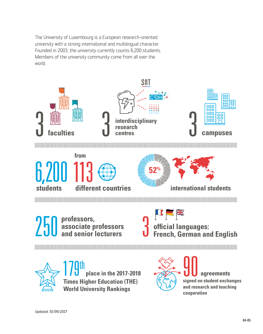The University of Luxembourg is a European research-oriented university with a strong international and multilingual character. Founded in 2003, the university currently counts 6,200 students. Members of the university community come from all over the world.



**INITIATION IN THE TIME** 



<u> 1989 - Andrea Stadt British Andrews Maria Stadt British Andrews Maria Stadt British Andrews Maria Stadt Britis</u>

#### **professors, associate professors and senior lecturers** 250

**official languages: French, German and English**  3



**Times Higher Education (THE) World University Rankings** 179th **place in the 2017-2018**  $\rightarrow \mathbb{Z}$  **UU** agreements



**ed a** agreements<br>
signed on student exchanges **and research and teaching cooperation**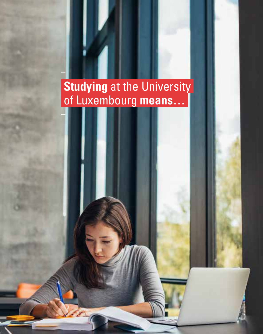# **Studying at the University**<br>of Luxembourg means...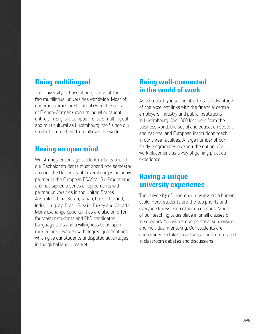#### **Being multilingual**

The University of Luxembourg is one of the few multilingual universities worldwide. Most of our programmes are bilingual (French-English or French-German), even trilingual or taught entirely in English. Campus life is as multilingual and multicultural as Luxembourg itself since our students come here from all over the world.

#### **Having an open mind**

We strongly encourage student mobility and all our Bachelor students must spend one semester abroad. The University of Luxembourg is an active partner in the European ERASMUS+ Programme and has signed a series of agreements with partner universities in the United States, Australia, China, Korea, Japan, Laos, Thailand, India, Uruguay, Brazil, Russia, Turkey and Canada. Many exchange opportunities are also on offer for Master students and PhD candidates. Language skills and a willingness to be openminded are rewarded with degree qualifications which give our students undisputed advantages in the global labour market.

#### **Being well-connected in the world of work**

As a student, you will be able to take advantage of the excellent links with the financial centre, employers, industry and public institutions in Luxembourg. Over 860 lecturers from the business world, the social and education sector, and national and European institutions teach in our three faculties. A large number of our study programmes give you the option of a work placement as a way of gaining practical experience.

#### **Having a unique university experience**

The University of Luxembourg works on a human scale. Here, students are the top priority and everyone knows each other on campus. Much of our teaching takes place in small classes or in seminars. You will receive personal supervision and individual mentoring. Our students are encouraged to take an active part in lectures and in classroom debates and discussions.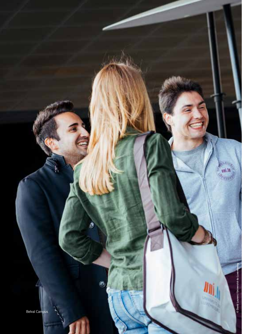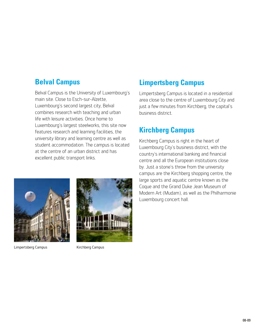#### **Belval Campus**

Belval Campus is the University of Luxembourg's main site. Close to Esch-sur-Alzette, Luxembourg's second largest city, Belval combines research with teaching and urban life with leisure activities. Once home to Luxembourg's largest steelworks, this site now features research and learning facilities, the university library and learning centre as well as student accommodation. The campus is located at the centre of an urban district and has excellent public transport links.

#### **Limpertsberg Campus**

Limpertsberg Campus is located in a residential area close to the centre of Luxembourg City and just a few minutes from Kirchberg, the capital's business district.

#### **Kirchberg Campus**

Kirchberg Campus is right in the heart of Luxembourg City's business district, with the country's international banking and financial centre and all the European institutions close by. Just a stone's throw from the university campus are the Kirchberg shopping centre, the large sports and aquatic centre known as the Coque and the Grand Duke Jean Museum of Modern Art (Mudam), as well as the Philharmonie Luxembourg concert hall.



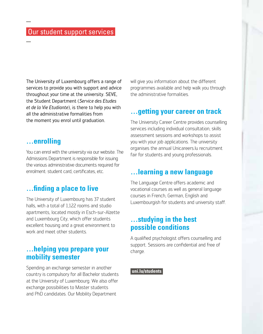#### Our student support services

The University of Luxembourg offers a range of services to provide you with support and advice throughout your time at the university. SEVE, the Student Department (*Service des Etudes et de la Vie Etudiante*), is there to help you with all the administrative formalities from the moment you enrol until graduation.

#### **…enrolling**

–

–

You can enrol with the university via our website. The Admissions Department is responsible for issuing the various administrative documents required for enrolment: student card, certificates, etc.

#### **…finding a place to live**

The University of Luxembourg has 37 student halls, with a total of 1,122 rooms and studio apartments, located mostly in Esch-sur-Alzette and Luxembourg City, which offer students excellent housing and a great environment to work and meet other students.

#### **…helping you prepare your mobility semester**

Spending an exchange semester in another country is compulsory for all Bachelor students at the University of Luxembourg. We also offer exchange possibilities to Master students and PhD candidates. Our Mobility Department

will give you information about the different programmes available and help walk you through the administrative formalities.

#### **…getting your career on track**

The University Career Centre provides counselling services including individual consultation, skills assessment sessions and workshops to assist you with your job applications. The university organises the annual Unicareers.lu recruitment fair for students and young professionals.

#### **…learning a new language**

The Language Centre offers academic and vocational courses as well as general language courses in French, German, English and Luxembourgish for students and university staff.

#### **…studying in the best possible conditions**

A qualified psychologist offers counselling and support. Sessions are confidential and free of charge.

#### **uni.lu/students**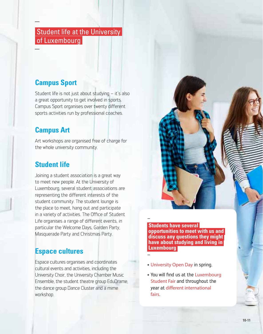#### Student life at the University of Luxembourg –

#### **Campus Sport**

–

Student life is not just about studying – it's also a great opportunity to get involved in sports. Campus Sport organises over twenty different sports activities run by professional coaches.

#### **Campus Art**

Art workshops are organised free of charge for the whole university community.

#### **Student life**

Joining a student association is a great way to meet new people. At the University of Luxembourg, several student associations are representing the different interests of the student community. The student lounge is the place to meet, hang out and participate in a variety of activities. The Office of Student Life organises a range of different events, in particular the Welcome Days, Garden Party, Masquerade Party and Christmas Party.

#### **Espace cultures**

Espace cultures organises and coordinates cultural events and activities, including the University Choir, the University Chamber Music Ensemble, the student theatre group EduDrame, the dance group Dance Cluster and a mime workshop.

**Students have several opportunities to meet with us and discuss any questions they might have about studying and living in Luxembourg**

• University Open Day in spring.

–

–

• You will find us at the Luxembourg Student Fair and throughout the year at different international fairs.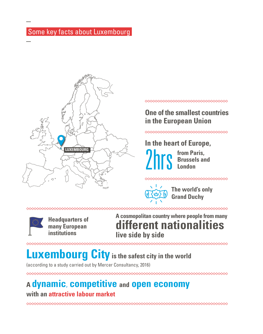#### Some key facts about Luxembourg



#### **One of the smallest countries in the European Union**

#### **In the heart of Europe, from Paris,**

**Brussels and London** 

#### 000000000000000000000000000

**The world's only Grand Duchy** 

**koosoosoosoosoosoosoo** 



–

–

**Headquarters of many European institutions**

**A cosmopolitan country where people from many different nationalities live side by side** 

**Luxembourg City** is the safest city in the world

(according to a study carried out by Mercer Consultancy, 2016)

#### **A dynamic, competitive and open economy with an attractive labour market**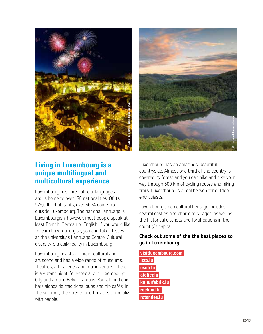

#### **Living in Luxembourg is a unique multilingual and multicultural experience**

Luxembourg has three official languages and is home to over 170 nationalities. Of its 576,000 inhabitants, over 46 % come from outside Luxembourg. The national language is Luxembourgish; however, most people speak at least French, German or English. If you would like to learn Luxembourgish, you can take classes at the university's Language Centre. Cultural diversity is a daily reality in Luxembourg.

Luxembourg boasts a vibrant cultural and art scene and has a wide range of museums, theatres, art galleries and music venues. There is a vibrant nightlife, especially in Luxembourg City and around Belval Campus. You will find chic bars alongside traditional pubs and hip cafés. In the summer, the streets and terraces come alive with people.



Luxembourg has an amazingly beautiful countryside. Almost one third of the country is covered by forest and you can hike and bike your way through 600 km of cycling routes and hiking trails. Luxembourg is a real heaven for outdoor enthusiasts.

Luxembourg's rich cultural heritage includes several castles and charming villages, as well as the historical districts and fortifications in the country's capital.

Check out some of the the best places to go in Luxembourg:

 **visitluxembourg.com lcto.lu esch.lu atelier.lu kulturfabrik.lu rockhal.lu rotondes.lu**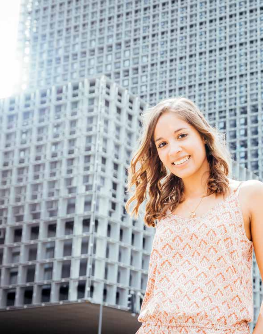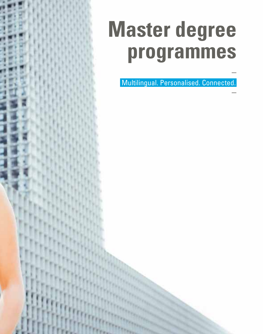

## **Master degree programmes**

Multilingual. Personalised. Connected.

–

–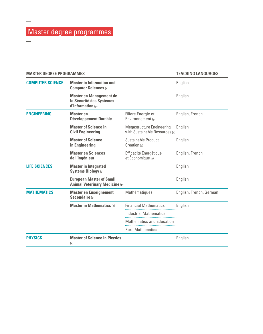–

–

| MASTER DEGREE PROGRAMMES  |                                                                                    |                                                                    | <b>TEACHING LANGUAGES</b> |
|---------------------------|------------------------------------------------------------------------------------|--------------------------------------------------------------------|---------------------------|
| <b>COMPUTER SCIENCE</b>   | <b>Master in Information and</b><br><b>Computer Sciences (a)</b>                   |                                                                    | English                   |
|                           | <b>Master en Management de</b><br>la Sécurité des Systèmes<br>$d'$ Information (p) |                                                                    | English                   |
| <b><i>ENGINEERING</i></b> | <b>Master</b> en<br><b>Développement Durable</b>                                   | Filière Energie et<br>Environnement (p)                            | English, French           |
|                           | <b>Master of Science in</b><br><b>Civil Engineering</b>                            | <b>Megastructure Engineering</b><br>with Sustainable Resources (a) | English                   |
|                           | <b>Master of Science</b><br>in Engineering                                         | Sustainable Product<br>Creation (a)                                | English                   |
|                           | <b>Master en Sciences</b><br>de l'Ingénieur                                        | Efficacité Energétique<br>et Economique (p)                        | English, French           |
| <b>LIFE SCIENCES</b>      | <b>Master in Integrated</b><br><b>Systems Biology</b> (a)                          |                                                                    | English                   |
|                           | <b>European Master of Small</b><br><b>Animal Veterinary Medicine (p)</b>           |                                                                    | English                   |
| <b>MATHEMATICS</b>        | <b>Master en Enseignement</b><br>Secondaire (p)                                    | Mathématiques                                                      | English, French, German   |
|                           | <b>Master in Mathematics (a)</b>                                                   | <b>Financial Mathematics</b>                                       | English                   |
|                           |                                                                                    | <b>Industrial Mathematics</b>                                      |                           |
|                           |                                                                                    | <b>Mathematics and Education</b>                                   |                           |
|                           |                                                                                    | <b>Pure Mathematics</b>                                            |                           |
| <b>PHYSICS</b>            | <b>Master of Science in Physics</b><br>(a)                                         |                                                                    | English                   |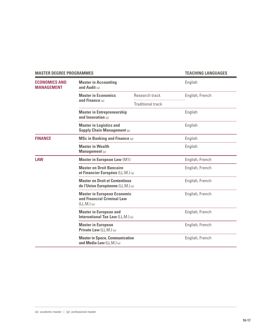#### **MASTER DEGREE PROGRAMMES TEACHING LANGUAGES**

| <b><i>ECONOMICS AND</i></b><br><b>MANAGEMENT</b> | <b>Master in Accounting</b><br>and Audit (a)                                      |                          | English         |
|--------------------------------------------------|-----------------------------------------------------------------------------------|--------------------------|-----------------|
|                                                  | <b>Master in Economics</b><br>and Finance (a)                                     | Research track           | English, French |
|                                                  |                                                                                   | <b>Traditional track</b> |                 |
|                                                  | <b>Master in Entrepreneurship</b><br>and Innovation (p)                           |                          | English         |
|                                                  | <b>Master in Logistics and</b><br>Supply Chain Management (p)                     |                          | English         |
| <b>FINANCE</b>                                   | <b>MSc in Banking and Finance (p)</b>                                             |                          | English         |
|                                                  | <b>Master in Wealth</b><br>Management $(p)$                                       |                          | English         |
| <b>LAW</b>                                       | <b>Master in European Law (M1)</b>                                                |                          | English, French |
|                                                  | <b>Master en Droit Bancaire</b><br>et Financier Européen (LL.M.) (a)              |                          | English, French |
|                                                  | <b>Master en Droit et Contentieux</b><br>de l'Union Européenne (LL.M.) (a)        |                          | English, French |
|                                                  | <b>Master in European Economic</b><br>and Financial Criminal Law<br>$(LL.M.)$ (a) |                          | English, French |
|                                                  | <b>Master in European and</b><br>International Tax Law (LL.M.) (a)                |                          | English, French |
|                                                  | <b>Master in European</b><br>Private Law (LL.M.) (a)                              |                          | English, French |
|                                                  | <b>Master in Space, Communication</b><br>and Media Law (LL.M.) (a)                |                          | English, French |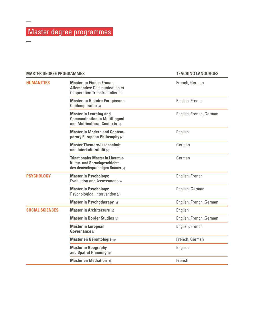#### **MASTER DEGREE PROGRAMMES TEACHING LANGUAGES**

| <b>HUMANITIES</b>      | Master en Études Franco-<br><b>Allemandes: Communication et</b><br>Coopération Transfrontalières             | French, German          |
|------------------------|--------------------------------------------------------------------------------------------------------------|-------------------------|
|                        | <b>Master en Histoire Européenne</b><br><b>Contemporaine (a)</b>                                             | English, French         |
|                        | <b>Master in Learning and</b><br><b>Communication in Multilingual</b><br>and Multicultural Contexts (a)      | English, French, German |
|                        | <b>Master in Modern and Contem-</b><br>porary European Philosophy (a)                                        | English                 |
|                        | <b>Master Theaterwissenschaft</b><br>und Interkulturalität (a)                                               | German                  |
|                        | <b>Trinationaler Master in Literatur-</b><br>Kultur- und Sprachgeschichte<br>des deutschsprachigen Raums (a) | German                  |
| <b>PSYCHOLOGY</b>      | <b>Master in Psychology:</b><br>Evaluation and Assessment (a)                                                | English, French         |
|                        | <b>Master in Psychology:</b><br>Psychological Intervention (a)                                               | English, German         |
|                        | Master in Psychotherapy (p)                                                                                  | English, French, German |
| <b>SOCIAL SCIENCES</b> | <b>Master in Architecture (a)</b>                                                                            | English                 |
|                        | Master in Border Studies (a)                                                                                 | English, French, German |
|                        | <b>Master in European</b><br>Governance (a)                                                                  | English, French         |
|                        | Master en Gérontologie (p)                                                                                   | French, German          |
|                        | <b>Master in Geography</b><br>and Spatial Planning (a)                                                       | English                 |
|                        | Master en Médiation (a)                                                                                      | French                  |

–

–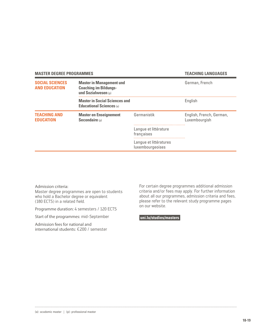#### **MASTER DEGREE PROGRAMMES TEACHING LANGUAGES**

| <b>SOCIAL SCIENCES</b><br><b>AND EDUCATION</b> | <b>Master in Management und</b><br><b>Coaching im Bildungs-</b><br>und Sozialwesen (p) |                                            | German, French                            |
|------------------------------------------------|----------------------------------------------------------------------------------------|--------------------------------------------|-------------------------------------------|
|                                                | <b>Master in Social Sciences and</b><br><b>Educational Sciences (a)</b>                |                                            | English                                   |
| <b>TEACHING AND</b><br><b>EDUCATION</b>        | <b>Master en Enseignement</b><br>Secondaire (p)                                        | Germanistik                                | English, French, German,<br>Luxembourgish |
|                                                |                                                                                        | Langue et littérature<br>françaises        |                                           |
|                                                |                                                                                        | Langue et littératures<br>luxembourgeoises |                                           |

Admission criteria:

Master degree programmes are open to students who hold a Bachelor degree or equivalent (180 ECTS) in a related field.

Programme duration: 4 semesters / 120 ECTS

Start of the programmes: mid-September

Admission fees for national and international students: €200 / semester For certain degree programmes additional admission criteria and/or fees may apply. For further information about all our programmes, admission criteria and fees, please refer to the relevant study programme pages on our website.

#### **uni.lu/studies/masters**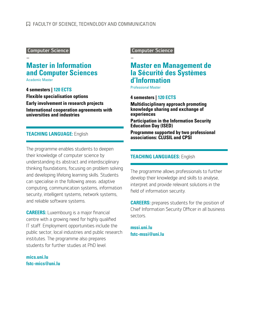#### Computer Science

#### **Master in Information and Computer Sciences**

Academic Master

–

**4 semesters | 120 ECTS Flexible specialisation options Early involvement in research projects International cooperation agreements with universities and industries**

#### **TEACHING LANGUAGE:** English

The programme enables students to deepen their knowledge of computer science by understanding its abstract and interdisciplinary thinking foundations, focusing on problem solving and developing lifelong learning skills. Students can specialise in the following areas: adaptive computing, communication systems, information security, intelligent systems, network systems, and reliable software systems.

**CAREERS:** Luxembourg is a major financial centre with a growing need for highly qualified IT staff. Employment opportunities include the public sector, local industries and public research institutes. The programme also prepares students for further studies at PhD level.

**mics.uni.lu fstc-mics@uni.lu**

#### Computer Science

#### **Master en Management de la Sécurité des Systèmes d'Information**

Professional Master

–

#### **4 semesters | 120 ECTS**

**Multidisciplinary approach promoting knowledge sharing and exchange of experiences**

**Participation in the Information Security Education Day (ISED)**

**Programme supported by two professional associations: CLUSIL and CPSI** 

#### **TEACHING LANGUAGES:** English

The programme allows professionals to further develop their knowledge and skills to analyse, interpret and provide relevant solutions in the field of information security.

**CAREERS:** prepares students for the position of Chief Information Security Officer in all business sectors.

**mssi.uni.lu fstc-mssi@uni.lu**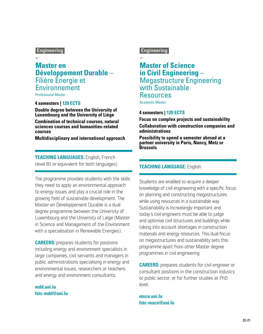#### Engineering

–

#### **Master en Développement Durable** – Filière Énergie et Environnement

Professional Master

#### **4 semesters | 120 ECTS**

**Double degree between the University of Luxembourg and the University of Liège Combination of technical courses, natural sciences courses and humanities-related courses** 

**Multidisciplinary and international approach**

**TEACHING LANGUAGES:** English, French (level B1 or equivalent for both languages)

The programme provides students with the skills they need to apply an environmental approach to energy issues and play a crucial role in the growing field of sustainable development. The Master en Développement Durable is a dual degree programme between the University of Luxembourg and the University of Liège (Master in Science and Management of the Environment with a specialisation in Renewable Energies).

**CAREERS:** prepares students for positions including energy and environment specialists in large companies, civil servants and managers in public administrations specialising in energy and environmental issues, researchers or teachers and energy and environment consultants.

**mdd.uni.lu fstc-mdd@uni.lu**

#### Engineering

–

#### **Master of Science in Civil Engineering** – Megastructure Engineering with Sustainable Resources

Academic Master

#### **4 semesters | 120 ECTS**

**Focus on complex projects and sustainability Collaboration with construction companies and administrations**

**Possibility to spend a semester abroad at a partner university in Paris, Nancy, Metz or Brussels**

#### **TEACHING LANGUAGE:** English

Students are enabled to acquire a deeper knowledge of civil engineering with a specific focus on planning and constructing megastructures while using resources in a sustainable way. Sustainability is increasingly important and today's civil engineers must be able to judge and optimise civil structures and buildings while taking into account shortages in construction materials and energy resources. This dual focus on megastructures and sustainability sets this programme apart from other Master degree programmes in civil engineering.

**CAREERS:** prepares students for civil engineer or consultant positions in the construction industry or public sector, or for further studies at PhD level.

**msce.uni.lu fstc-msce@uni.lu**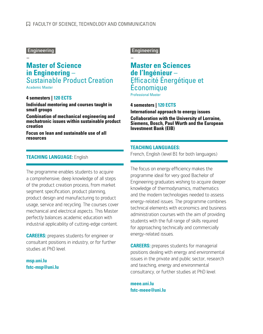#### Engineering

–

#### **Master of Science in Engineering** – Sustainable Product Creation

Academic Master

#### **4 semesters | 120 ECTS**

**Individual mentoring and courses taught in small groups**

**Combination of mechanical engineering and mechatronic issues within sustainable product creation**

**Focus on lean and sustainable use of all resources**

#### **TEACHING LANGUAGE:** English

The programme enables students to acquire a comprehensive, deep knowledge of all steps of the product creation process, from market segment specification, product planning, product design and manufacturing to product usage, service and recycling. The courses cover mechanical and electrical aspects. This Master perfectly balances academic education with industrial applicability of cutting-edge content.

**CAREERS:** prepares students for engineer or consultant positions in industry, or for further studies at PhD level.

**msp.uni.lu fstc-msp@uni.lu**

#### **Engineering**

–

#### **Master en Sciences de l'Ingénieur** – Efficacité Énergétique et **Économique**

Professional Master

#### **4 semesters | 120 ECTS**

**International approach to energy issues**

**Collaboration with the University of Lorraine, Siemens, Bosch, Paul Wurth and the European Investment Bank (EIB)**

#### **TEACHING LANGUAGES:**

French, English (level B1 for both languages)

The focus on energy efficiency makes the programme ideal for very good Bachelor of Engineering graduates wishing to acquire deeper knowledge of thermodynamics, mathematics and the modern technologies needed to assess energy-related issues. The programme combines technical elements with economics and business administration courses with the aim of providing students with the full range of skills required for approaching technically and commercially energy-related issues.

**CAREERS:** prepares students for managerial positions dealing with energy and environmental issues in the private and public sector, research and teaching, energy and environmental consultancy, or further studies at PhD level.

**meee.uni.lu fstc-meee@uni.lu**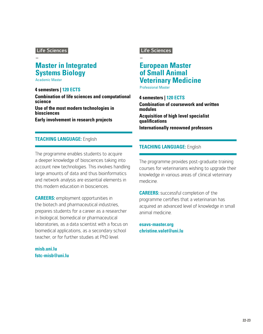#### Life Sciences

#### – **Master in Integrated Systems Biology**

Academic Master

#### Professional Master **4 semesters | 120 ECTS**

**Combination of life sciences and computational science Use of the most modern technologies in** 

**biosciences**

**Early involvement in research projects**

#### **TEACHING LANGUAGE:** English

The programme enables students to acquire a deeper knowledge of biosciences taking into account new technologies. This involves handling large amounts of data and thus bioinformatics and network analysis are essential elements in this modern education in biosciences.

**CAREERS:** employment opportunities in the biotech and pharmaceutical industries prepares students for a career as a researcher in biological, biomedical or pharmaceutical laboratories, as a data scientist with a focus on biomedical applications, as a secondary school teacher, or for further studies at PhD level.

**misb.uni.lu fstc-misb@uni.lu**

#### Life Sciences

–

#### **European Master of Small Animal Veterinary Medicine**

#### **4 semesters | 120 ECTS**

**Combination of coursework and written modules Acquisition of high level specialist qualifications**

**Internationally renowned professors**

#### **TEACHING LANGUAGE:** English

The programme provides post-graduate training courses for veterinarians wishing to upgrade their knowledge in various areas of clinical veterinary medicine.

**CAREERS:** successful completion of the programme certifies that a veterinarian has acquired an advanced level of knowledge in small animal medicine.

**esavs-master.org christine.valet@uni.lu**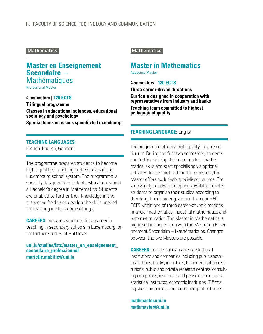#### Mathematics

–

#### **Master en Enseignement Secondaire** – **Mathématiques**

Professional Master

#### **4 semesters | 120 ECTS**

**Trilingual programme**

**Classes in educational sciences, educational sociology and psychology Special focus on issues specific to Luxembourg**

#### **TEACHING LANGUAGES:**

French, English, German

The programme prepares students to become highly qualified teaching professionals in the Luxembourg school system. The programme is specially designed for students who already hold a Bachelor's degree in Mathematics. Students are enabled to further their knowledge in the respective fields and develop the skills needed for teaching in classroom settings.

**CAREERS:** prepares students for a career in teaching in secondary schools in Luxembourg, or for further studies at PhD level.

**uni.lu/studies/fstc/master\_en\_enseignement\_ secondaire\_professionnel marielle.mabille@uni.lu**

#### **Mathematics**

#### – **Master in Mathematics**  Academic Master

**4 semesters | 120 ECTS**

**Three career-driven directions** 

**Curricula designed in cooperation with representatives from industry and banks**

**Teaching team committed to highest pedagogical quality**

#### **TEACHING LANGUAGE:** English

The programme offers a high-quality, flexible curriculum. During the first two semesters, students can further develop their core modern mathematical skills and start specialising via optional activities. In the third and fourth semesters, the Master offers exclusively specialised courses. The wide variety of advanced options available enables students to organise their studies according to their long-term career goals and to acquire 60 ECTS within one of three career-driven directions: financial mathematics, industrial mathematics and pure mathematics. The Master in Mathematics is organised in cooperation with the Master en Enseignement Secondaire – Mathématiques. Changes between the two Masters are possible.

**CAREERS:** mathematicians are needed in all institutions and companies including public sector institutions, banks, industries, higher education institutions, public and private research centres, consulting companies, insurance and pension companies statistical institutes, economic institutes, IT firms logistics companies, and meteorological institutes.

**mathmaster.uni.lu mathmaster@uni.lu**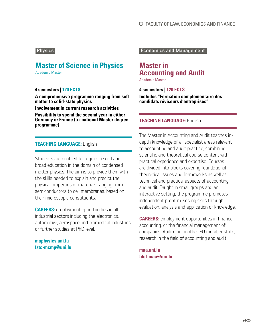#### Physics

–

#### **Master of Science in Physics**

Academic Master

#### **4 semesters | 120 ECTS**

**A comprehensive programme ranging from soft matter to solid-state physics**

**Involvement in current research activities Possibility to spend the second year in either Germany or France (tri-national Master degree programme)**

#### **TEACHING LANGUAGE:** English

Students are enabled to acquire a solid and broad education in the domain of condensed matter physics. The aim is to provide them with the skills needed to explain and predict the physical properties of materials ranging from semiconductors to cell membranes, based on their microscopic constituents.

**CAREERS:** employment opportunities in all industrial sectors including the electronics, automotive, aerospace and biomedical industries, or further studies at PhD level.

#### **maphysics.uni.lu fstc-mcmp@uni.lu**

#### Economics and Management

#### **Master in Accounting and Audit**

Academic Master

–

**4 semesters | 120 ECTS Includes "Formation complémentaire des candidats réviseurs d'entreprises"** 

#### **TEACHING LANGUAGE:** English

The Master in Accounting and Audit teaches indepth knowledge of all specialist areas relevant to accounting and audit practice, combining scientific and theoretical course content with practical experience and expertise. Courses are divided into blocks covering foundational theoretical issues and frameworks as well as technical and practical aspects of accounting and audit. Taught in small groups and an interactive setting, the programme promotes independent problem-solving skills through evaluation, analysis and application of knowledge.

**CAREERS:** employment opportunities in finance, accounting, or the financial management of companies. Auditor in another EU member state, research in the field of accounting and audit.

**maa.uni.lu fdef-maa@uni.lu**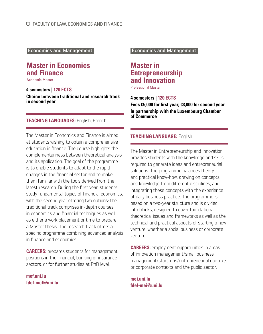#### Economics and Management

#### **Master in Economics and Finance**

Academic Master

–

#### **4 semesters | 120 ECTS Choice between traditional and research track in second year**

#### **TEACHING LANGUAGES:** English, French

The Master in Economics and Finance is aimed at students wishing to obtain a comprehensive education in finance. The course highlights the complementariness between theoretical analysis and its application. The goal of the programme is to enable students to adapt to the rapid changes in the financial sector and to make them familiar with the tools derived from the latest research. During the first year, students study fundamental topics of financial economics, with the second year offering two options: the traditional track comprises in-depth courses in economics and financial techniques as well as either a work placement or time to prepare a Master thesis. The research track offers a specific programme combining advanced analysis in finance and economics.

**CAREERS:** prepares students for management positions in the financial, banking or insurance sectors, or for further studies at PhD level.

**mef.uni.lu fdef-mef@uni.lu**

#### Economics and Management

#### – **Master in Entrepreneurship and Innovation**

Professional Master

#### **4 semesters | 120 ECTS**

**Fees €5,000 for first year; €3,000 for second year In partnership with the Luxembourg Chamber of Commerce** 

#### **TEACHING LANGUAGE:** English

The Master in Entrepreneurship and Innovation provides students with the knowledge and skills required to generate ideas and entrepreneurial solutions. The programme balances theory and practical know-how, drawing on concepts and knowledge from different disciplines, and integrating these concepts with the experience of daily business practice. The programme is based on a two-year structure and is divided into blocks, designed to cover foundational theoretical issues and frameworks as well as the technical and practical aspects of starting a new venture, whether a social business or corporate venture.

**CAREERS:** employment opportunities in areas of innovation management/small business management/start-ups/entrepreneurial contexts or corporate contexts and the public sector.

**mei.uni.lu fdef-mei@uni.lu**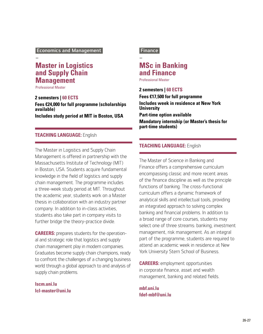#### Economics and Management

#### **Master in Logistics and Supply Chain Management**

Professional Master

–

#### **2 semesters | 60 ECTS**

**Fees €24,000 for full programme (scholarships available) Includes study period at MIT in Boston, USA** 

#### **TEACHING LANGUAGE:** English

The Master in Logistics and Supply Chain Management is offered in partnership with the Massachusetts Institute of Technology (MIT) in Boston, USA. Students acquire fundamental knowledge in the field of logistics and supply chain management. The programme includes a three-week study period at MIT. Throughout the academic year, students work on a Master thesis in collaboration with an industry partner company. In addition to in-class activities, students also take part in company visits to further bridge the theory-practice divide.

**CAREERS:** prepares students for the operational and strategic role that logistics and supply chain management play in modern companies. Graduates become supply chain champions, ready to confront the challenges of a changing business world through a global approach to and analysis of supply chain problems.

**lscm.uni.lu lcl-master@uni.lu**

#### **Finance**

–

#### **MSc in Banking and Finance**

Professional Master

#### **2 semesters | 60 ECTS**

**Fees €17,500 for full programme Includes week in residence at New York University Part-time option available Mandatory internship (or Master's thesis for part-time students)** 

#### **TEACHING LANGUAGE:** English

The Master of Science in Banking and Finance offers a comprehensive curriculum encompassing classic and more recent areas of the finance discipline as well as the principle functions of banking. The cross-functional curriculum offers a dynamic framework of analytical skills and intellectual tools, providing an integrated approach to solving complex banking and financial problems. In addition to a broad range of core courses, students may select one of three streams: banking, investment management, risk management. As an integral part of the programme, students are required to attend an academic week in residence at New York University Stern School of Business.

**CAREERS:** employment opportunities in corporate finance, asset and wealth management, banking and related fields.

**mbf.uni.lu fdef-mbf@uni.lu**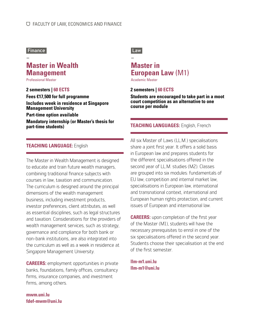#### **Finance**

–

#### **Master in Wealth Management**

Professional Master

#### **2 semesters | 60 ECTS**

**Fees €17,500 for full programme**

**Includes week in residence at Singapore Management University Part-time option available Mandatory internship (or Master's thesis for part-time students)** 

#### Law

–

#### **Master in European Law** (M1)

Academic Master

#### **2 semesters | 60 ECTS**

**Students are encouraged to take part in a moot court competition as an alternative to one course per module** 

#### **TEACHING LANGUAGES:** English, French

#### **TEACHING LANGUAGE:** English

The Master in Wealth Management is designed to educate and train future wealth managers, combining traditional finance subjects with courses in law, taxation and communication. The curriculum is designed around the principal dimensions of the wealth management business, including investment products, investor preferences, client attributes, as well as essential disciplines, such as legal structures and taxation. Considerations for the providers of wealth management services, such as strategy, governance and compliance for both bank or non-bank institutions, are also integrated into the curriculum as well as a week in residence at Singapore Management University.

**CAREERS:** employment opportunities in private banks, foundations, family offices, consultancy firms, insurance companies, and investment firms, among others.

All six Master of Laws (LL.M.) specialisations share a joint first year. It offers a solid basis in European law and prepares students for the different specialisations offered in the second year of LL.M. studies (M2). Classes are grouped into six modules: fundamentals of EU law, competition and internal market law, specialisations in European law, international and transnational context, international and European human rights protection, and current issues of European and international law.

**CAREERS:** upon completion of the first year of the Master (M1), students will have the necessary prerequisites to enrol in one of the six specialisations offered in the second year. Students choose their specialisation at the end of the first semester.

**llm-m1.uni.lu llm-m1@uni.lu**

**mwm.uni.lu fdef-mwm@uni.lu**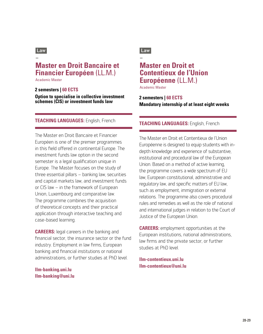#### Law

#### – **Master en Droit Bancaire et Financier Européen** (LL.M.)

Academic Master

#### **2 semesters | 60 ECTS**

**Option to specialise in collective investment schemes (CIS) or investment funds law** 

#### **TEACHING LANGUAGES:** English, French

The Master en Droit Bancaire et Financier Européen is one of the premier programmes in this field offered in continental Europe. The investment funds law option in the second semester is a legal qualification unique in Europe. The Master focuses on the study of three essential pillars – banking law, securities and capital markets law, and investment funds or CIS law – in the framework of European Union, Luxembourg and comparative law. The programme combines the acquisition of theoretical concepts and their practical application through interactive teaching and case-based learning.

**CAREERS:** legal careers in the banking and financial sector, the insurance sector or the fund industry. Employment in law firms, European banking and financial institutions or national administrations, or further studies at PhD level.

**llm-banking.uni.lu llm-banking@uni.lu**

#### Law –

#### **Master en Droit et Contentieux de l'Union Européenne** (LL.M.)

#### **2 semesters | 60 ECTS Mandatory internship of at least eight weeks**

#### **TEACHING LANGUAGES:** English, French

The Master en Droit et Contentieux de l'Union Européenne is designed to equip students with indepth knowledge and experience of substantive, institutional and procedural law of the European Union. Based on a method of active learning, the programme covers a wide spectrum of EU law, European constitutional, administrative and regulatory law, and specific matters of EU law, such as employment, immigration or external relations. The programme also covers procedural rules and remedies as well as the role of national and international judges in relation to the Court of Justice of the European Union.

**CAREERS:** employment opportunities at the European institutions, national administrations, law firms and the private sector, or further studies at PhD level.

**llm-contentieux.uni.lu llm-contentieux@uni.lu**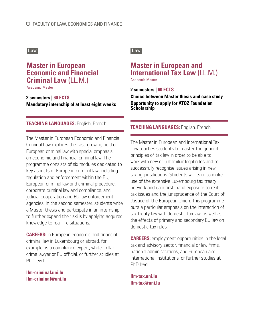#### Law –

#### **Master in European Economic and Financial Criminal Law** (LL.M.)

Academic Master

#### **2 semesters | 60 ECTS Mandatory internship of at least eight weeks**

#### **TEACHING LANGUAGES:** English, French

The Master in European Economic and Financial Criminal Law explores the fast-growing field of European criminal law with special emphasis on economic and financial criminal law. The programme consists of six modules dedicated to key aspects of European criminal law, including regulation and enforcement within the EU, European criminal law and criminal procedure, corporate criminal law and compliance, and judicial cooperation and EU law enforcement agencies. In the second semester, students write a Master thesis and participate in an internship to further expand their skills by applying acquired knowledge to real-life situations.

**CAREERS:** in European economic and financial criminal law in Luxembourg or abroad, for example as a compliance expert, white-collar crime lawyer or EU official, or further studies at PhD level.

**llm-criminal.uni.lu llm-criminal@uni.lu**

#### Law –

#### **Master in European and International Tax Law** (LL.M.)

Academic Master

**2 semesters | 60 ECTS Choice between Master thesis and case study Opportunity to apply for ATOZ Foundation Scholarship** 

#### **TEACHING LANGUAGES:** English, French

The Master in European and International Tax Law teaches students to master the general principles of tax law in order to be able to work with new or unfamiliar legal rules and to successfully recognise issues arising in new taxing jurisdictions. Students will learn to make use of the extensive Luxembourg tax treaty network and gain first-hand exposure to real tax issues and the jurisprudence of the Court of Justice of the European Union. This programme puts a particular emphasis on the interaction of tax treaty law with domestic tax law, as well as the effects of primary and secondary EU law on domestic tax rules.

**CAREERS:** employment opportunities in the legal tax and advisory sector, financial or law firms, national administrations, and European and international institutions, or further studies at PhD level.

**llm-tax.uni.lu llm-tax@uni.lu**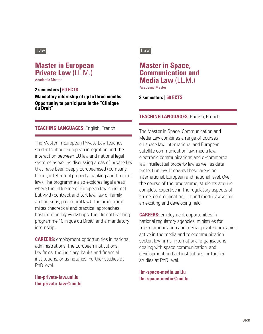#### Law –

#### **Master in European Private Law (I)** M.

Academic Master

**2 semesters | 60 ECTS Mandatory internship of up to three months Opportunity to participate in the "Clinique du Droit"** 

#### **TEACHING LANGUAGES:** English, French

The Master in European Private Law teaches students about European integration and the interaction between EU law and national legal systems as well as discussing areas of private law that have been deeply Europeanised (company, labour, intellectual property, banking and financial law). The programme also explores legal areas where the influence of European law is indirect but vivid (contract and tort law, law of family and persons, procedural law). The programme mixes theoretical and practical approaches, hosting monthly workshops, the clinical teaching programme "Clinique du Droit" and a mandatory internship.

**CAREERS:** employment opportunities in national administrations, the European institutions, law firms, the judiciary, banks and financial institutions, or as notaries. Further studies at PhD level.

**llm-private-law.uni.lu llm-private-law@uni.lu**

#### Law –

#### **Master in Space, Communication and Media Law** (LL.M.)

**2 semesters | 60 ECTS** 

#### **TEACHING LANGUAGES:** English, French

The Master in Space, Communication and Media Law combines a range of courses on space law, international and European satellite communication law, media law, electronic communications and e-commerce law, intellectual property law as well as data protection law. It covers these areas on international, European and national level. Over the course of the programme, students acquire complete expertise in the regulatory aspects of space, communication, ICT and media law within an exciting and developing field.

**CAREERS:** employment opportunities in national regulatory agencies, ministries for telecommunication and media, private companies active in the media and telecommunication sector, law firms, international organisations dealing with space communication, and development and aid institutions, or further studies at PhD level.

**llm-space-media.uni.lu llm-space-media@uni.lu**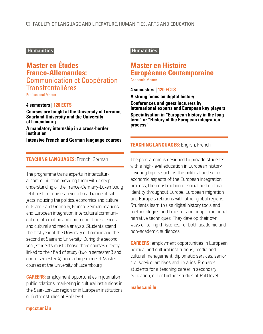#### Humanities

–

#### **Master en Études Franco-Allemandes:**  Communication et Coopération Transfrontalières

Professional Master

#### **4 semesters | 120 ECTS**

**Courses are taught at the University of Lorraine, Saarland University and the University of Luxembourg A mandatory internship in a cross-border institution Intensive French and German language courses**

#### **TEACHING LANGUAGES:** French, German

The programme trains experts in intercultural communication providing them with a deep understanding of the France-Germany-Luxembourg relationship. Courses cover a broad range of subjects including the politics, economics and culture of France and Germany, Franco-German relations and European integration, intercultural communication, information and communication sciences, and cultural and media analysis. Students spend the first year at the University of Lorraine and the second at Saarland University. During the second year, students must choose three courses directly linked to their field of study (two in semester 3 and one in semester 4) from a large range of Master courses at the University of Luxembourg.

**CAREERS:** employment opportunities in journalism, public relations, marketing in cultural institutions in the Saar-Lor-Lux region or in European institutions, or further studies at PhD level.

#### **Humanities**

–

#### **Master en Histoire Européenne Contemporaine**

Academic Master

#### **4 semesters | 120 ECTS**

**A strong focus on digital history** 

**Conferences and guest lecturers by international experts and European key players Specialisation in "European history in the long term" or "History of the European integration process"**

#### **TEACHING LANGUAGES:** English, French

The programme is designed to provide students with a high-level education in European history, covering topics such as the political and socioeconomic aspects of the European integration process, the construction of social and cultural identity throughout Europe, European migration and Europe's relations with other global regions. Students learn to use digital history tools and methodologies and transfer and adapt traditional narrative techniques. They develop their own ways of telling (hi)stories, for both academic and non-academic audiences.

**CAREERS:** employment opportunities in European political and cultural institutions, media and cultural management, diplomatic services, senior civil service, archives and libraries. Prepares students for a teaching career in secondary education, or for further studies at PhD level.

#### **mahec.uni.lu**

#### **mpcct.uni.lu**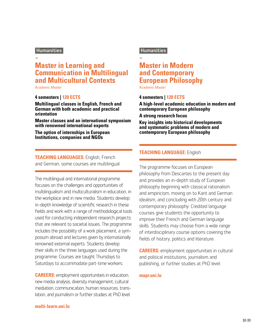#### **Humanities**

–

#### **Master in Learning and Communication in Multilingual and Multicultural Contexts**

Academic Master

#### **4 semesters | 120 ECTS**

**Multilingual classes in English, French and German with both academic and practical orientation**

**Master classes and an international symposium with renowned international experts**

**The option of internships in European Institutions, companies and NGOs**

**TEACHING LANGUAGES:** English, French and German, some courses are multilingual

The multilingual and international programme focuses on the challenges and opportunities of multilingualism and multiculturalism in education, in the workplace and in new media. Students develop in-depth knowledge of scientific research in these fields and work with a range of methodological tools used for conducting independent research projects that are relevant to societal issues. The programme includes the possibility of a work placement, a symposium abroad and lectures given by internationally renowned external experts. Students develop their skills in the three languages used during the programme. Courses are taught Thursdays to Saturdays to accommodate part-time workers.

**CAREERS:** employment opportunities in education, new media analysis, diversity management, cultural mediation, communication, human resources, translation, and journalism or further studies at PhD level.

#### **Humanities**

–

#### **Master in Modern and Contemporary European Philosophy**

Academic Master

**4 semesters | 120 ECTS** 

**A high-level academic education in modern and contemporary European philosophy**

**A strong research focus**

**Key insights into historical developments and systematic problems of modern and contemporary European philosophy**

#### **TEACHING LANGUAGE:** English

The programme focuses on European philosophy from Descartes to the present day and provides an in-depth study of European philosophy beginning with classical rationalism and empiricism, moving on to Kant and German idealism, and concluding with 20th century and contemporary philosophy. Credited language courses give students the opportunity to improve their French and German language skills. Students may choose from a wide range of interdisciplinary course options covering the fields of history, politics and literature.

**CAREERS:** employment opportunities in cultural and political institutions, journalism and publishing, or further studies at PhD level.

#### **mapr.uni.lu**

#### **multi-learn.uni.lu**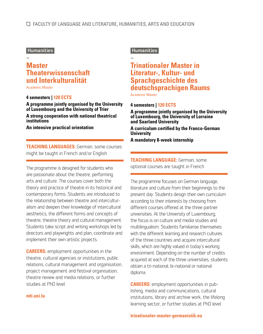#### Humanities

–

#### **Master Theaterwissenschaft und Interkulturalität**

Academic Master

#### **4 semesters | 120 ECTS**

**A programme jointly organised by the University of Luxembourg and the University of Trier A strong cooperation with national theatrical institutions**

**An intensive practical orientation**

**TEACHING LANGUAGES:** German, some courses might be taught in French and/or English

The programme is designed for students who are passionate about the theatre, performing arts and culture. The courses cover both the theory and practice of theatre in its historical and contemporary forms. Students are introduced to the relationship between theatre and interculturalism and deepen their knowledge of intercultural aesthetics, the different forms and concepts of theatre, theatre theory and cultural management. Students take script and writing workshops led by directors and playwrights and plan, coordinate and implement their own artistic projects.

**CAREERS:** employment opportunities in the theatre, cultural agencies or institutions, public relations, cultural management and organisation, project management and festival organisation, theatre review and media relations, or further studies at PhD level.

#### **Humanities**

–

#### **Trinationaler Master in Literatur-, Kultur- und Sprachgeschichte des deutschsprachigen Raums**

Academic Master

#### **4 semesters | 120 ECTS**

**A programme jointly organised by the University of Luxembourg, the University of Lorraine and Saarland University A curriculum certified by the Franco-German University A mandatory 8-week internship**

#### **TEACHING LANGUAGE:** German, some

optional courses are taught in French

The programme focuses on German language, literature and culture from their beginnings to the present day. Students design their own curriculum according to their interests by choosing from different courses offered at the three partner universities. At the University of Luxembourg, the focus is on culture and media studies and multilingualism. Students familiarise themselves with the different learning and research cultures of the three countries and acquire intercultural skills, which are highly valued in today's working environment. Depending on the number of credits acquired at each of the three universities, students obtain a tri-national, bi-national or national diploma.

**CAREERS:** employment opportunities in publishing, media and communications, cultural institutions, library and archive work, the lifelong learning sector, or further studies at PhD level.

#### **mti.uni.lu**

#### **trinationaler-master-germanistik.eu**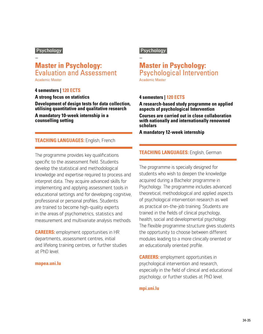#### **Psychology**

#### – **Master in Psychology:** Evaluation and Assessment

Academic Master

#### **4 semesters | 120 ECTS**

**A strong focus on statistics Development of design tests for data collection, utilising quantitative and qualitative research A mandatory 10-week internship in a counselling setting**

#### **TEACHING LANGUAGES:** English, French

The programme provides key qualifications specific to the assessment field. Students develop the statistical and methodological knowledge and expertise required to process and interpret data. They acquire advanced skills for implementing and applying assessment tools in educational settings and for developing cognitive, professional or personal profiles. Students are trained to become high-quality experts in the areas of psychometrics, statistics and measurement and multivariate analysis methods.

**CAREERS:** employment opportunities in HR departments, assessment centres, initial and lifelong training centres, or further studies at PhD level.

#### **mapea.uni.lu**

#### **Psychology**

#### – **Master in Psychology:** Psychological Intervention

Academic Master

#### **4 semesters | 120 ECTS**

#### **A research-based study programme on applied aspects of psychological Intervention**

**Courses are carried out in close collaboration with nationally and internationally renowned scholars**

**A mandatory 12-week internship**

#### **TEACHING LANGUAGES:** English, German

The programme is specially designed for students who wish to deepen the knowledge acquired during a Bachelor programme in Psychology. The programme includes advanced theoretical, methodological and applied aspects of psychological intervention research as well as practical on-the-job training. Students are trained in the fields of clinical psychology, health, social and developmental psychology. The flexible programme structure gives students the opportunity to choose between different modules leading to a more clinically oriented or an educationally oriented profile.

**CAREERS:** employment opportunities in psychological intervention and research, especially in the field of clinical and educational psychology, or further studies at PhD level.

#### **mpi.uni.lu**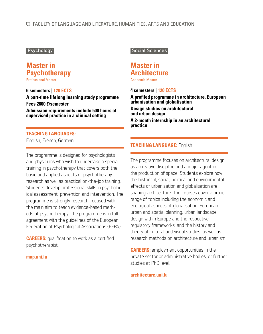#### Psychology

#### – **Master in Psychotherapy**

Professional Master

#### **6 semesters | 120 ECTS**

**A part-time lifelong learning study programme Fees 2600 €/semester** 

**Admission requirements include 500 hours of supervised practice in a clinical setting**

#### **TEACHING LANGUAGES:**

English, French, German

The programme is designed for psychologists and physicians who wish to undertake a special training in psychotherapy that covers both the basic and applied aspects of psychotherapy research as well as practical on-the-job training. Students develop professional skills in psychological assessment, prevention and intervention. The programme is strongly research-focused with the main aim to teach evidence-based methods of psychotherapy. The programme is in full agreement with the guidelines of the European Federation of Psychological Associations (EFPA).

**CAREERS:** qualification to work as a certified psychotherapist.

#### **map.uni.lu**

#### Social Sciences

#### **Master in Architecture**

Academic Master

–

#### **4 semesters | 120 ECTS**

**A profiled programme in architecture, European urbanisation and globalisation**

**Design studios on architectural and urban design**

**A 2-month internship in an architectural practice**

#### **TEACHING LANGUAGE:** English

The programme focuses on architectural design, as a creative discipline and a major agent in the production of space. Students explore how the historical, social, political and environmental effects of urbanisation and globalisation are shaping architecture. The courses cover a broad range of topics including the economic and ecological aspects of globalisation, European urban and spatial planning, urban landscape design within Europe and the respective regulatory frameworks, and the history and theory of cultural and visual studies, as well as research methods on architecture and urbanism.

**CAREERS:** employment opportunities in the private sector or administrative bodies, or further studies at PhD level.

#### **architecture.uni.lu**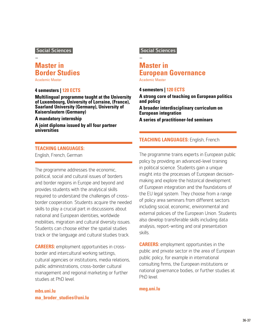#### Social Sciences

#### – **Master in Border Studies**

Academic Master

#### **4 semesters | 120 ECTS**

**Multilingual programme taught at the University of Luxembourg, University of Lorraine, (France), Saarland University (Germany), University of Kaiserslautern (Germany)**

**A mandatory internship**

**A joint diploma issued by all four partner universities** 

#### **TEACHING LANGUAGES:**

English, French, German

The programme addresses the economic, political, social and cultural issues of borders and border regions in Europe and beyond and provides students with the analytical skills required to understand the challenges of crossborder cooperation. Students acquire the needed skills to play a crucial part in discussions about national and European identities, worldwide mobilities, migration and cultural diversity issues. Students can choose either the spatial studies track or the language and cultural studies track.

**CAREERS:** employment opportunities in crossborder and intercultural working settings, cultural agencies or institutions, media relations, public administrations, cross-border cultural management and regional marketing or further studies at PhD level.

**mbs.uni.lu ma\_broder\_studies@uni.lu**

#### Social Sciences

#### **Master in European Governance**

Academic Master

–

#### **4 semesters | 120 ECTS**

**A strong core of teaching on European politics and policy A broader interdisciplinary curriculum on European integration A series of practitioner-led seminars**

#### **TEACHING LANGUAGES:** English, French

The programme trains experts in European public policy by providing an advanced-level training in political science. Students gain a unique insight into the processes of European decisionmaking and explore the historical development of European integration and the foundations of the EU legal system. They choose from a range of policy area seminars from different sectors including social, economic, environmental and external policies of the European Union. Students also develop transferable skills including data analysis, report-writing and oral presentation skills.

**CAREERS:** employment opportunities in the public and private sector in the area of European public policy, for example in international consulting firms, the European institutions or national governance bodies, or further studies at PhD level.

#### **meg.uni.lu**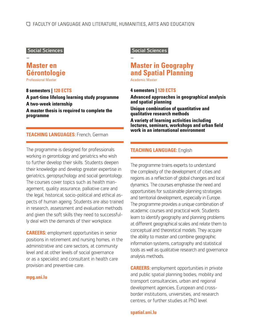#### Social Sciences

#### **Master en Gérontologie**

Professional Master

–

#### **8 semesters | 120 ECTS**

**A part-time lifelong learning study programme A two-week internship A master thesis is required to complete the programme**

#### **TEACHING LANGUAGES:** French, German

The programme is designed for professionals working in gerontology and geriatrics who wish to further develop their skills. Students deepen their knowledge and develop greater expertise in geriatrics, geropsychology and social gerontology. The courses cover topics such as health management, quality assurance, palliative care and the legal, historical, socio-political and ethical aspects of human ageing. Students are also trained in research, assessment and evaluation methods and given the soft skills they need to successfully deal with the demands of their workplace.

**CAREERS:** employment opportunities in senior positions in retirement and nursing homes, in the administrative and care sectors, at community level and at other levels of social governance or as a specialist and consultant in health care provision and preventive care.

#### **mpg.uni.lu**

#### Social Sciences

#### **Master in Geography and Spatial Planning**

Academic Master

–

#### **4 semesters | 120 ECTS**

**Advanced approaches in geographical analysis and spatial planning**

**Unique combination of quantitative and qualitative research methods**

**A variety of learning activities including lectures, seminars, workshops and urban field work in an international environment**

#### **TEACHING LANGUAGE:** English

The programme trains experts to understand the complexity of the development of cities and regions as a reflection of global changes and local dynamics. The courses emphasise the need and opportunities for sustainable planning strategies and territorial development, especially in Europe. The programme provides a unique combination of academic courses and practical work. Students learn to identify geography and planning problems at different geographical scales and relate them to conceptual and theoretical models. They acquire the ability to master and combine geographic information systems, cartography and statistical tools as well as qualitative research and governance analysis methods.

**CAREERS:** employment opportunities in private and public spatial planning bodies, mobility and transport consultancies, urban and regional development agencies, European and crossborder institutions, universities, and research centres, or further studies at PhD level.

#### **spatial.uni.lu**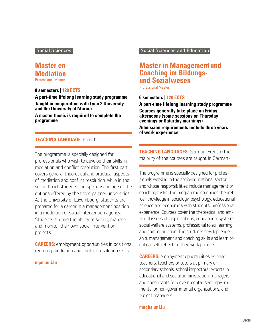#### Social Sciences

#### **Master en Médiation** Professional Master

–

#### **8 semesters | 120 ECTS**

**A part-time lifelong learning study programme Taught in cooperation with Lyon 2 University and the University of Murcia** 

**A master thesis is required to complete the programme** 

#### **TEACHING LANGUAGE:** French

The programme is specially designed for professionals who wish to develop their skills in mediation and conflict resolution. The first part covers general theoretical and practical aspects of mediation and conflict resolution, while in the second part students can specialise in one of the options offered by the three partner universities. At the University of Luxembourg, students are prepared for a career in a management position in a mediation or social intervention agency. Students acquire the ability to set up, manage and monitor their own social intervention projects.

**CAREERS:** employment opportunities in positions requiring mediation and conflict resolution skills

#### **mpm.uni.lu**

#### Social Sciences and Education

#### **Master in Management und Coaching im Bildungsund Sozialwesen**

Professional Master

–

#### **6 semesters | 120 ECTS**

**A part-time lifelong learning study programme**

**Courses generally take place on Friday afternoons (some sessions on Thursday evenings or Saturday mornings) Admission requirements include three years of work experience**

**TEACHING LANGUAGES:** German, French (the majority of the courses are taught in German)

The programme is specially designed for professionals working in the socio-educational sector and whose responsibilities include management or coaching tasks. The programme combines theoretical knowledge in sociology, psychology, educational science and economics with students' professional experience. Courses cover the theoretical and empirical issues of organisations, educational systems, social welfare systems, professional roles, learning and communication. The students develop leadership, management and coaching skills and learn to critical self-reflect on their work projects.

**CAREERS:** employment opportunities as head teachers, teachers or tutors at primary or secondary schools, school inspectors, experts in educational and social administration, managers and consultants for governmental, semi-governmental or non-governmental organisations, and project managers.

#### **macbs.uni.lu**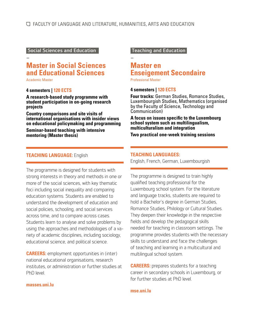#### Social Sciences and Education

#### **Master in Social Sciences and Educational Sciences**

Academic Master

–

#### **4 semesters | 120 ECTS**

**A research-based study programme with student participation in on-going research projects**

**Country comparisons and site visits of international organisations with insider views on educational policymaking and programming**

**Seminar-based teaching with intensive mentoring (Master thesis)**

#### **TEACHING LANGUAGE:** English

The programme is designed for students with strong interests in theory and methods in one or more of the social sciences, with key thematic foci including social inequality and comparing education systems. Students are enabled to understand the development of education and social policies, schooling, and social services across time, and to compare across cases. Students learn to analyse and solve problems by using the approaches and methodologies of a variety of academic disciplines, including sociology, educational science, and political science.

**CAREERS:** employment opportunities in (inter) national educational organisations, research institutes, or administration or further studies at PhD level.

#### **masses.uni.lu**

#### Teaching and Education

#### **Master en Enseigement Secondaire**

Professional Master

–

#### **4 semesters | 120 ECTS**

**Four tracks:** German Studies, Romance Studies, Luxembourgish Studies, Mathematics (organised by the Faculty of Science, Technology and Communication)

**A focus on issues specific to the Luxembourg school system such as multilingualism, multiculturalism and integration** 

**Two practical one-week training sessions**

#### **TEACHING LANGUAGES:**

English, French, German, Luxembourgish

The programme is designed to train highly qualified teaching professional for the Luxembourg school system. For the literature and language tracks, students are required to hold a Bachelor's degree in German Studies, Romance Studies, Philology or Cultural Studies. They deepen their knowledge in the respective fields and develop the pedagogical skills needed for teaching in classroom settings. The programme provides students with the necessary skills to understand and face the challenges of teaching and learning in a multicultural and multilingual school system.

**CAREERS:** prepares students for a teaching career in secondary schools in Luxembourg, or for further studies at PhD level.

#### **mse.uni.lu**